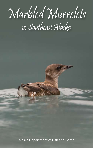# Marbled Murrelets in Southeast Alaska

Alaska Department of Fish and Game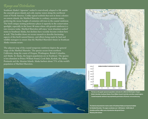# Range and Distribution

Southeast Alaska's 'signature' seabird is marvelously adapted to life amidst the emerald-green islands and cold, marine waters along the northwest coast of North America. Unlike typical seabirds that nest in dense colonies on remote islands, the Marbled Murrelet is a solitary, secretive nester, preferring the mossy boughs of centuries-old trees in the coastal rainforest. The bird's unique nesting preference places it squarely in the conservation spotlight, especially in the lower 48 states where old-growth rainforest is a rare resource today. Marbled Murrelets still enjoy 'most abundant seabird' status in Southeast Alaska, but declines have recently become evident here as well. This booklet draws on recent research to describe fascinating aspects of this bird's natural history, and efforts being made by land and wildlife managers to ensure that the Marbled Murrelet's future in Southeast Alaska remains secure.

The adjacent map of the coastal temperate rainforest depicts the general range of the Marbled Murrelet. The species occurs from northern California, along the coasts of Oregon, Washington, British Columbia, and Alaska. In Alaska, the largest populations are in Southeast. The species is less abundant in Prince William Sound, Cook Inlet, Kodiak, the Alaska Peninsula and the Aleutian Islands. Alaska harbors about 75% of the world's population of Marbled Murrelets.





**The bars on the graph represent population estimates for California-Washington-Oregon, British Columbia, Southeast Alaska, Prince Willaim Sound-Cook Inlet, and other coastal regions. Coastal temperate rainforest map reprinted by permission of Ecotrust. www.ecotrust.org**

**The islands and productive marine waters of Southeast Alaska are important habitat for Marbled Murrelets . The region constitutes over 1,000 islands , 14,000 miles of shoreline and five million acres of productive old-growth forest. Photo by John Schoen**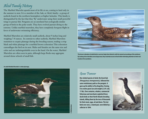# Alcid Family History

The Marbled Murrelet spends most of its life at sea, coming to land only in the summer to nest. It is a member of the Auk, or Alcid, family—a group of seabirds found in the northern hemisphere at higher latitudes. This family is distinguished by the fact that they 'fly' underwater using their small powerful wings to pursue fish. Penguins are an unrelated but ecologically similar group of birds in the polar south. They have evolved pursuit diving to the extreme. Unlike marbled murrelets, they have completely foregone flight in favor of underwater swimming efficiency.

Marbled Murrelets are relatively small seabirds, about 9 inches long and weighing 7-8 ounces. In contrast to other seabirds, Marbled Murrelets transition to cryptic plumage during the breeding season, trading a crisp black and white plumage for a marbled brown coloration This coloration camouflages the bird on its nest. Males and females are the same size and color and are indistinguishable even in the hand. On the water, Marbled Murrelets are often seen in pairs, although large flocks may aggregate around dense schools of small fish.



**The brown coloration of adult birds in summer helps them blend in with the natural surroundings of the rainforest. By nesting at low densities across large areas, they maximize access to food while minimizing attention to their nest locations from predators.** 

**An adult Marbled Murrelet in winter plumage.** 



Gone Forever

**© Milo Burcham**

**One related species of alcid, the Great Auk**  *(Penguinus immpennis)***, followed the same evolutionary path as the penguin. It gave up the ability to fly altogether, freeing it to evolve great size and weight (2.6 ft. tall, 11 lbs). Over centuries, whalers, commercial fisherman and merchants exploited these docile birds on their North Atlantic breeding islands, killing them by the tens of thousands for their meat, eggs, oil and down. The last birds ever seen, a mated pair, were killed by a collector in 1844.**

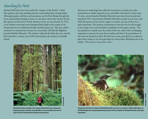# Searching for Nests

Marbled Murrelets have been called the 'enigma of the Pacific', a label that speaks to the long standing mystery surrounding their nesting habits. Although people could hear and sometimes see the birds flying through the forest, presumably heading to nests, no one knew where they nested. In fact, this species was the last in North America to have its nest located. In 1974, a tree climber removing storm-damaged limbs high in the canopy of an old-growth tree in California literally stumbled upon one. The nest, which consisted of a natural mat of moss on a stout limb, still held the flightless juvenile Marbled Murrelet. The climber collected the limb, the nest, and the bird, and after a century and a half of uncertainty, the mystery was finally solved.



**Andy Romanoff Andy Ro** 

**Marbled Murrelets nest high in the canopy of old-growth trees, arriving and departing at dawn and dusk, and make little or no sound while on the nest. It wasn't until 1974 that the first confirmed nest was found.** 

Advances in technology have allowed researchers to attach tiny radiotransmitters to adults captured at sea, and follow them back to their nests. To date, several hundred Marbled Murrelet nests have been located and described. We've learned that Marbled Murrelets mostly nest in trees, and while the species of tree doesn't appear to matter, the age of the tree is quite important. The primary requirement is that the tree be old enough to have large moss covered limbs or platforms in the upper canopy. The nest platform is usually near the trunk of the tree, often with overhanging vegetation to protect the nest from weather and hide it from predators. It also must be situated to allow the bird easy access, provided by an adjacent gap in the canopy or by trees growing on a steep slope. Biologists sum it up simply, 'They need a room with a view.'



**This picture is the first ever taken of a Marbled Murrelet on its nest. It was taken in 1984 by Jeff Hughes, an ADF&G biologist who conducted pioneering research with Sue Quinlan on Marbled Murrelets using radio transmitters.**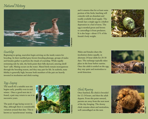# Natural History



**Milo Burcham © Milo Burcham**

# Courtship

Beginning in spring, murrelets begin arriving on the inside waters for breeding. In their marbled grey-brown breeding plumage, groups of males and females gather to perform the rituals of courtship. While rapidly swimming side by side, the birds point their bills skyward, uttering shrill 'keer' calls. Mating occurs on the water. Mated birds remain monogamous through the breeding season, and they may pair for life. In seabirds, mate fidelity is generally high, because both members of the pair are heavily invested in incubation and chick rearing.

and it ensures that for at least some portion of the birds, hatching will coincide with an abundant and readily available food supply. The female lays a single egg in a shallow depression in a bed of moss. The egg is mottled green and brown to camouflage it from predators. It is also large—about 15% of the female's body weight.



**Jack Withrow**

Males and females share the incubation duties equally, in alternate 24 hour shifts for 28-30 days. The exchange typically takes place in the hour before sunrise. Once the adult is settled on the egg, they stay quiet and motionless to avoid detection.



## Egg-Laying

The search for a suitable nest site begins early, possibly even in mid winter. Once a good nest site is found, a pair may return to use it in successive years.

The peak of egg-laying occurs in May, although there is considerable variation around that date. This is known as 'asynchronous' nesting,



#### Chick Rearing

Once hatched, the chick is brooded for 12-24 hours, and then the adult departs. From this point onward, parents are away from the nest most of the day foraging. The downy chick remains silent and motionless, well camouflaged on the nest.

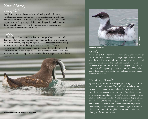# Natural History Feeding Chicks

As dusk approaches, adults may be seen holding whole fish, mostly sand lance and capelin, as they wait for twilight to make a clandestine delivery to the chick. As the chick grows, however, so too does its food requirement. Making multiple deliveries of fish per day, including some during daylight hours, exposes the nest to increased predation and represents a dangerous time for the chick.

## Fledging

If the young chick successfully makes it to 30 days of age, it faces a truly daunting task. The young bird, one that has never flown before, must leap off of the nest limb, drop to gain flight speed, and instinctively start flying in the right direction, all the way to the marine waters. The distance is typically measured in miles, and is a critical test of the fledgling's strength and stamina. What percentage pass the test is unknown, but it is suspected to be low. Should a young bird be grounded short of its goal, death is almost certain.





**Juvenile Marbled Murrelet** 

#### Juveniles

For the ones that do reach the sea successfully, their chances of survival improve dramatically. The young birds instinctively know how to dive, swim underwater with their wings, and catch their prey (zooplankton and small fish) in shallow waters or kelp beds. From 60-80% of these newly fledged birds survive to one year old, depending on marine conditions. Within 2-4 years, these individuals will be ready to breed themselves, and start the cycle anew.

## The Missing Murrelets

By late August, murrelets of all ages go 'missing' in the inside waters of Southeast Alaska. The adults will soon be going through a post-breeding molt, where they synchronously shed their flight feathers and grow new ones. They also transition from their summer plumage (brown) to their distinctive winter plumage of black and white. While temporarily flightless, the birds must be able to find adequate food close at hand, without threat from predators. No one knows with certainty where the birds go, but circumstantial evidence suggests offshore - a place where thousands of flighless seabirds could effectively 'disappear' for a month or two.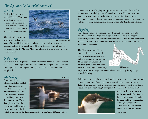# The Remarkable Marbled Murrelet

## In the Air

During flight, the heavy bodied Marbled Murrelets must flap their wings continuously and rapidly to stay airborne. Murrelets sometimes need to bounce off a wave to get airborne.

The ratio of body weight to wing area, called 'wing



**Matt Kirchhoff, ©ADF&G**

loading' in Marbled Murrelets is relatively high. High wing loading necessitates high flight speeds up to 60 mph. This has some advantages for a seabird like the Marbled Murrelet, allowing it to cover large areas in search of food.

#### In the Water

Underwater flight requires penetrating a medium that is 800 times denser than air, overcoming the buoyancy created by air trapped in their feathers and lungs, and swimming with enough speed and maneuverability to catch pelagic fish.

## **Morphology**

A number of special adaptations help Marbled Murrelets compete in both the above-water and underwater world. The short neck and torpedoshaped body minimize drag underwater. Their feet, placed well to the rear, make walking on land awkward, but are ideally

**© Milo Burcham**



suited to helping the bird maneuver underwater. Marbled Murrelets have

a dense layer of overlapping waterproof feathers that keep the bird dry, preserving the insulating value of underlying down. The outer contour feathers present a smooth surface important for minimizing drag when flying underwater. At depth, water pressure squeezes the air from the downy feathers, reducing buoyancy, and making underwater flight more efficient.

## Physiology

Murrelet respiratory systems are very efficient at delivering oxygen to muscles. They have a high percentage of red-blood cells and oxygentransporting hemoglobin molecules in their blood. Their muscles are heavily infused with capillary blood vessels that transport oxygen-rich blood to the individual muscle cells.

The flight muscles of Alcids contain a large proportion of aerobic (oxidative) muscle fibers and oxygen-carrying myoglobin. These fibers are capable of producing rapid, powerful wing beats for aerial flight, and storing



large quantities of oxygen for increased aerobic capacity during wingpropelled diving.

Switching between aerial and aquatic environments poses challenges beyond simple locomotion. The way an animal's eyes focus in air and water is distinctly different due to the refractory characteristics of the two mediums. Focusing is done not through changes in the shape of the cornea, but by



relatively dramatic changes in the lens itself. To adjust to low light levels, pupils tend to be large and the retina packed with high numbers of rods. These rods enhance motion detection in low light levels.

**© Milo Burcham**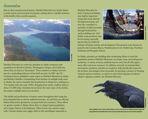## Conservation

Due to their unusual natural history, Marbled Murrelets are closely linked to both marine and terrestrial ecosystems, making them a valuable indicator of the health of the overall ecosystem.



Marbled Murrelets are relatively abundant in Alaska compared with populations in British Columbia, Washington, Oregon, and California, where they are listed as 'threatened'. Their numbers in Alaska, however, may be a misleading indicator of the bird's security. In 2007, the US Geological Survey published a status report on Marbled Murrelets in Alaska and British Columbia. Extrapolating from declines in multiple study areas in Alaska, the report concludes that populations in Alaska have undergone a 71% decline since the early 1990's, dropping from nearly a million birds to about 271,000 today. Scientists do not know the exact cause of the decline, but suspect multiple factors are involved.

The health and productivity of marine waters throughout their range has been degraded due to chronic pollution (sewage, oil, and farm run-off) and habitat destruction (productive eel-grass beds and estuaries). These effects are greater outside of Alaska where there is a larger human population and a longer history of development. Other factors may operate rangewide. Climate change may trigger shifts in fish assemblages important to

Marbled Murrelets for food. Commercial fishing may deplete important forage fish stocks directly through harvesting, and may also contribute to mortality of adult murrelets through incidental bycatch in fishing nets. And finally, avian predators may be increasing, especially species that are relatively



tolerant of human activity and development.The greatest avain threats are posed by the Common Raven, Northwestern Crow, Steller's Jay, Northern Goshawk and Peregrine Falcon.

In Alaska, scientists are doubling their monitoring efforts to track the population trends of Marbled Murrelets over larger areas, and with greater sensitivity. A variety of survey methods may be used, but all will require more effort and more resources. In addition, research on nesting habits, movements, predation, and diet are needed to help identify the causes for the declines, and mitigate them if possible. In pursuing a mission of 'keeping common species common', no species is more deserving than Southeast Alaska's 'signature seabird', the Marbled Murrelet.



David Harris, ©ADF&C

**Avian predators such as this Common Raven, are the main threats to Marbled Murrelet eggs and young. Birds that nest farther from shore may have reduced exposure to some of these predators.**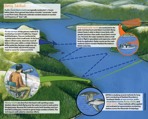# Survey Methods

**Audio-visual dawn countsare typically conducted 1-2 hours before dawn, from ground sites below murrelet "commuter" routes to and from nests. Observers estimate numbers based on number and frequency of "keer" calls.** 

**At-sea surveys are the primary method of monitoring murrelets in California, Oregon and Washington. They are conducted by 3-person teams from small boats. As the boat follows a fixed course, observers count all birds on the water within a certain distance of the center line. Because rough seas can hide distant birds, adjustments must be made to correct for undetected birds.**

**Boat-based radar counts are conducted in the early morning hours and detect murrelets flying inland. Radar is able to detect more birds, with greater precision, than audio-visual dawn counts can. However, the radar needed to detect small birds in flight is specialized, and expensive, which limits its application. Radar counts are the main method used to monitor Marbled Murrelets in British Columbia.**

**Flyway counts are done from the beach with spotting scopes. Spotters observe birds flying over the water en route to nests and/or foraging areas. Because this method counts both breeders and nonbreeders as they pass, it tends to garner large numbers of birds. This technique is well-suited to volunteer efforts.**

**ADF&G is studying several methods for longterm monitoring of Marbled Murrelets in**  Southeast Alaska: at-sea surveys, audio**visual dawn counts, flyway counts, and radar counts. These methods will be applied and evaluated at representative monitoring stations across the Alexander Archipelago.**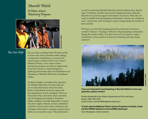Murrelet Watch: A Citizen Science Monitoring Program



## You Can Help!

Do you enjoy watching birds? Would you like to learn more about murrelets while making an important contribution to research and conservation in Alaska? Here's your chance! Murrelet Watch, a new citizen science monitoring program, provides an opportunity for private citizens to assist biologists in gathering information about the distribution and abundance of Marbled Murrelets in Southeast Alaska.

Southeast Alaska is considered the epicenter for Marbled Murrelets in North America, yet we lack information about how these birds are distributed across the region and how populations may be changing. There are thousands of bays and inlets where murrelets may be foraging and nesting in Southeast Alaska, making it virtually impossible to survey the entire region. Instead, we have established a number of survey sites where volunteers and biologists will be able to regularly monitor these birds over consecutive years. This information

is vital to conserving Marbled Murrelets and the habitats they depend upon. Volunteers conduct surveys from designated points along the shoreline (see previous page for description of surveys). Most sites are easily accessible from participating communities. Surveys are conducted once a week in the early morning or early evening during the months of June and July.

We'll give you all of the training and tools you'll need to become a certified volunteer. Training is offered in all participating communities during the month of May. You don't have to be an expert to make a contribution, all you need is an interest in learning and enjoy being outdoors!



**Craig Flatten © ADF&G**

I**f you are interested in participating in Murrelet Watch or have any questions, please contact:**

Kristen Romanoff at the Alaska Department of Fish and Game phone: (907) 465-4292 email: kristen\_romanoff@fishgame.state.ak.us

**To learn about additional Citizen Science Programs in Alaska, check out the ADF&G website at www.wildlife.alaska.gov** Go to Nongame, Citizen Science